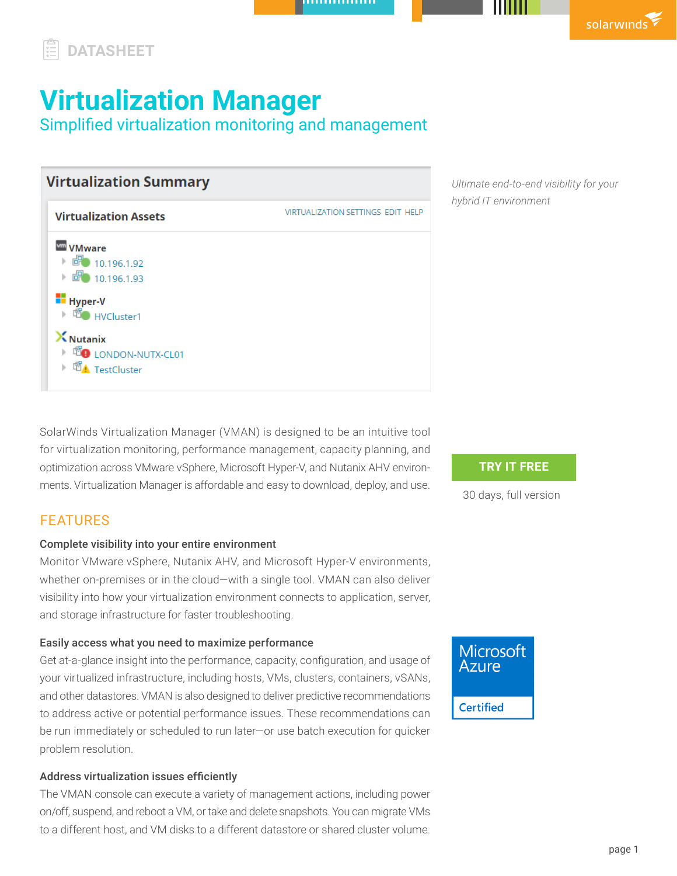# **DATASHEET**

# **Virtualization Manager**

Simplified virtualization monitoring and management

| <b>Virtualization Summary</b>                                                                    |                                          |
|--------------------------------------------------------------------------------------------------|------------------------------------------|
| <b>Virtualization Assets</b>                                                                     | <b>VIRTUALIZATION SETTINGS EDIT HELP</b> |
| <b>VMware</b><br>$\overline{67}$ 10.196.1.92<br>$\triangleright$ 6 10.196.1.93<br><b>Hyper-V</b> |                                          |
| ▶ do HVCluster1<br><b>X</b> Nutanix<br>▶ LONDON-NUTX-CL01<br><b>TestCluster</b>                  |                                          |

*Ultimate end-to-end visibility for your hybrid IT environment*

SolarWinds Virtualization Manager (VMAN) is designed to be an intuitive tool for virtualization monitoring, performance management, capacity planning, and optimization across VMware vSphere, Microsoft Hyper-V, and Nutanix AHV environments. Virtualization Manager is affordable and easy to download, deploy, and use.

# FEATURES

# Complete visibility into your entire environment

Monitor VMware vSphere, Nutanix AHV, and Microsoft Hyper-V environments, whether on-premises or in the cloud—with a single tool. VMAN can also deliver visibility into how your virtualization environment connects to application, server, and storage infrastructure for faster troubleshooting.

# Easily access what you need to maximize performance

Get at-a-glance insight into the performance, capacity, configuration, and usage of your virtualized infrastructure, including hosts, VMs, clusters, containers, vSANs, and other datastores. VMAN is also designed to deliver predictive recommendations to address active or potential performance issues. These recommendations can be run immediately or scheduled to run later—or use batch execution for quicker problem resolution.

# Address virtualization issues efficiently

The VMAN console can execute a variety of management actions, including power on/off, suspend, and reboot a VM, or take and delete snapshots. You can migrate VMs to a different host, and VM disks to a different datastore or shared cluster volume.

# **TRY IT FREE**

[30 days, full version](https://www.solarwinds.com/virtualization-manager/registration?CMP=LEC-DTST-SWI-SW_WW_X_PP_X_LD_EN_VMANG_SW-VMAN-20200800_DATASHEET_X_OF1_X_X-X)

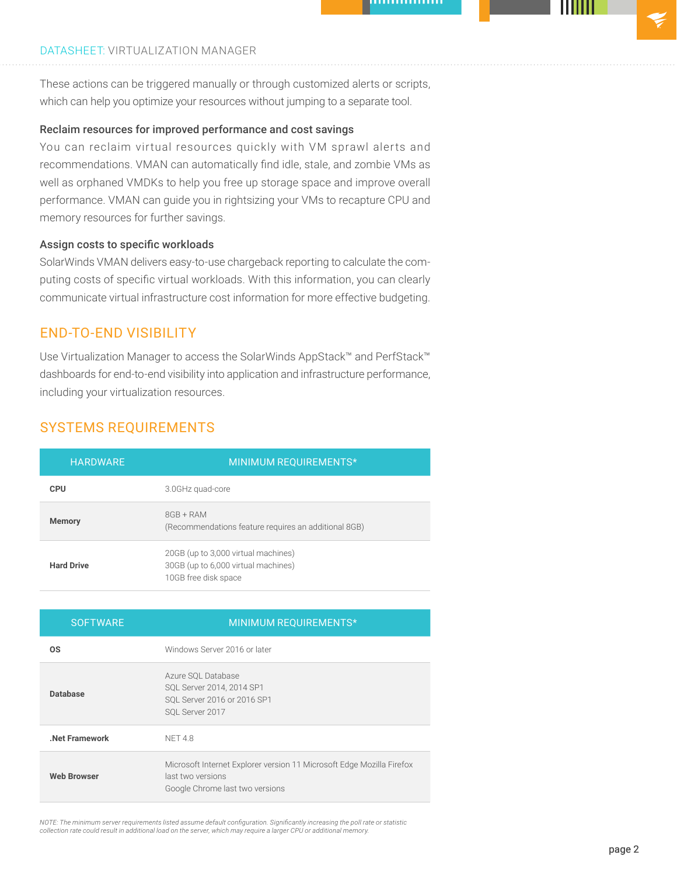#### DATASHEET: VIRTUALIZATION MANAGER

These actions can be triggered manually or through customized alerts or scripts, which can help you optimize your resources without jumping to a separate tool.

#### Reclaim resources for improved performance and cost savings

You can reclaim virtual resources quickly with VM sprawl alerts and recommendations. VMAN can automatically find idle, stale, and zombie VMs as well as orphaned VMDKs to help you free up storage space and improve overall performance. VMAN can guide you in rightsizing your VMs to recapture CPU and memory resources for further savings.

#### Assign costs to specific workloads

SolarWinds VMAN delivers easy-to-use chargeback reporting to calculate the computing costs of specific virtual workloads. With this information, you can clearly communicate virtual infrastructure cost information for more effective budgeting.

# END-TO-END VISIBILITY

Use Virtualization Manager to access the SolarWinds AppStack™ and PerfStack™ dashboards for end-to-end visibility into application and infrastructure performance, including your virtualization resources.

# SYSTEMS REQUIREMENTS

| <b>HARDWARE</b>   | MINIMUM REQUIREMENTS*                                                                              |
|-------------------|----------------------------------------------------------------------------------------------------|
| <b>CPU</b>        | 3.0GHz quad-core                                                                                   |
| <b>Memory</b>     | $8GB + RAM$<br>(Recommendations feature requires an additional 8GB)                                |
| <b>Hard Drive</b> | 20GB (up to 3,000 virtual machines)<br>30GB (up to 6,000 virtual machines)<br>10GB free disk space |

| <b>SOFTWARE</b>    | MINIMUM REQUIREMENTS*                                                                                                         |
|--------------------|-------------------------------------------------------------------------------------------------------------------------------|
| <b>OS</b>          | Windows Server 2016 or later                                                                                                  |
| <b>Database</b>    | Azure SQL Database<br>SQL Server 2014, 2014 SP1<br>SOL Server 2016 or 2016 SP1<br>SOL Server 2017                             |
| Net Framework      | NFT48                                                                                                                         |
| <b>Web Browser</b> | Microsoft Internet Explorer version 11 Microsoft Edge Mozilla Firefox<br>last two versions<br>Google Chrome last two versions |

NOTE: The minimum server requirements listed assume default configuration. Significantly increasing the poll rate or statistic<br>collection rate could result in additional load on the server, which may require a larger CPU o